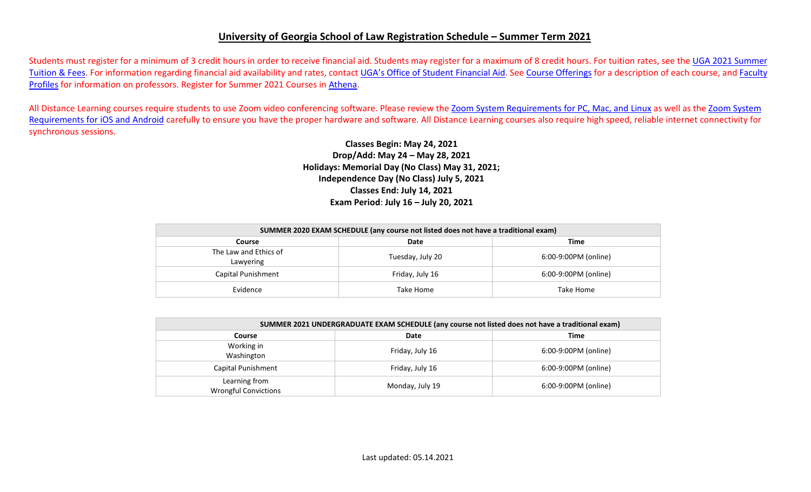## **University of Georgia School of Law Registration Schedule – Summer Term 2021**

Students must register for a minimum of 3 credit hours in order to receive financial aid. Students may register for a maximum of 8 credit hours. For tuition rates, see the [UGA 2021](https://busfin.uga.edu/bursar/bursar_tuition_sum_2021/) Summer [Tuition & Fees.](https://busfin.uga.edu/bursar/bursar_tuition_sum_2021/) For information regarding financial aid availability and rates, contact [UGA's Office of Student Financial Aid.](https://osfa.uga.edu/) See [Course Offerings](http://www.law.uga.edu/course-offerings) for a description of each course, and [Faculty](http://www.law.uga.edu/faculty-profiles) [Profiles](http://www.law.uga.edu/faculty-profiles) for information on professors. Register for Summer 2021 Courses in [Athena.](http://www.athena.uga.edu/)

All Distance Learning courses require students to use Zoom video conferencing software. Please review the [Zoom System Requirements for PC, Mac, and](https://support.zoom.us/hc/en-us/articles/201362023-System-Requirements-for-PC-Mac-and-Linux) Linux as well as the [Zoom System](https://support.zoom.us/hc/en-us/articles/201179966-System-Requirements-for-iOS-and-Android) [Requirements for iOS and Android](https://support.zoom.us/hc/en-us/articles/201179966-System-Requirements-for-iOS-and-Android) carefully to ensure you have the proper hardware and software. All Distance Learning courses also require high speed, reliable internet connectivity for synchronous sessions.

> **Classes Begin: May 24, 2021 Drop/Add: May 24 – May 28, 2021 Holidays: Memorial Day (No Class) May 31, 2021; Independence Day (No Class) July 5, 2021 Classes End: July 14, 2021 Exam Period**: **July 16 – July 20, 2021**

| SUMMER 2020 EXAM SCHEDULE (any course not listed does not have a traditional exam) |                  |                      |  |  |  |  |  |
|------------------------------------------------------------------------------------|------------------|----------------------|--|--|--|--|--|
| Time<br>Date<br>Course                                                             |                  |                      |  |  |  |  |  |
| The Law and Ethics of<br>Lawyering                                                 | Tuesday, July 20 | 6:00-9:00PM (online) |  |  |  |  |  |
| Capital Punishment                                                                 | Friday, July 16  | 6:00-9:00PM (online) |  |  |  |  |  |
| Evidence                                                                           | Take Home        | Take Home            |  |  |  |  |  |

| SUMMER 2021 UNDERGRADUATE EXAM SCHEDULE (any course not listed does not have a traditional exam) |                 |                      |  |  |  |  |  |
|--------------------------------------------------------------------------------------------------|-----------------|----------------------|--|--|--|--|--|
| Course                                                                                           | Date            | Time                 |  |  |  |  |  |
| Working in<br>Washington                                                                         | Friday, July 16 | 6:00-9:00PM (online) |  |  |  |  |  |
| Capital Punishment                                                                               | Friday, July 16 | 6:00-9:00PM (online) |  |  |  |  |  |
| Learning from<br><b>Wrongful Convictions</b>                                                     | Monday, July 19 | 6:00-9:00PM (online) |  |  |  |  |  |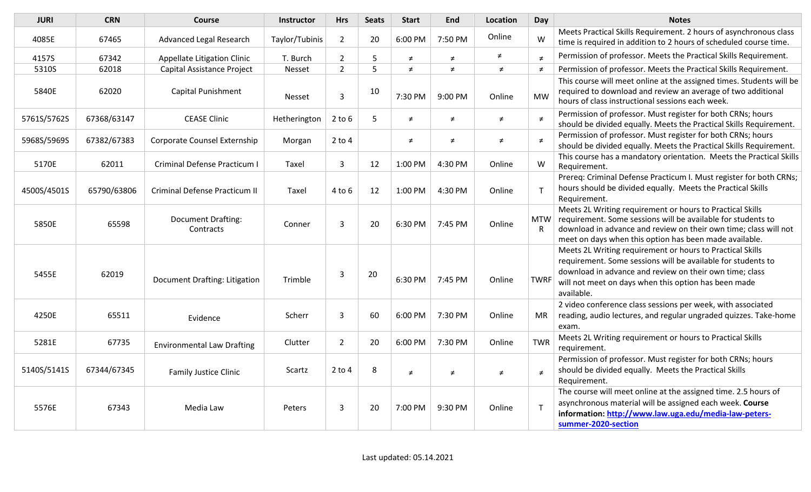| <b>JURI</b> | <b>CRN</b>  | <b>Course</b>                          | <b>Instructor</b> | <b>Hrs</b>     | <b>Seats</b> | <b>Start</b>      | <b>End</b> | <b>Location</b> | Day         | <b>Notes</b>                                                                                                                                                                                                                                               |
|-------------|-------------|----------------------------------------|-------------------|----------------|--------------|-------------------|------------|-----------------|-------------|------------------------------------------------------------------------------------------------------------------------------------------------------------------------------------------------------------------------------------------------------------|
| 4085E       | 67465       | Advanced Legal Research                | Taylor/Tubinis    | $\overline{2}$ | 20           | 6:00 PM           | 7:50 PM    | Online          | W           | Meets Practical Skills Requirement. 2 hours of asynchronous class<br>time is required in addition to 2 hours of scheduled course time.                                                                                                                     |
| 4157S       | 67342       | Appellate Litigation Clinic            | T. Burch          | $\overline{2}$ | 5            | $\neq$            | $\neq$     | ≠               | $\neq$      | Permission of professor. Meets the Practical Skills Requirement.                                                                                                                                                                                           |
| 5310S       | 62018       | Capital Assistance Project             | Nesset            | $\overline{2}$ | 5            | $\neq$            | $\neq$     | $\neq$          | $\neq$      | Permission of professor. Meets the Practical Skills Requirement.                                                                                                                                                                                           |
| 5840E       | 62020       | <b>Capital Punishment</b>              | <b>Nesset</b>     | $\overline{3}$ | 10           | 7:30 PM           | 9:00 PM    | Online          | <b>MW</b>   | This course will meet online at the assigned times. Students will be<br>required to download and review an average of two additional<br>hours of class instructional sessions each week.                                                                   |
| 5761S/5762S | 67368/63147 | <b>CEASE Clinic</b>                    | Hetherington      | $2$ to $6$     | 5            | $\neq$            | $\neq$     | $\neq$          | $\neq$      | Permission of professor. Must register for both CRNs; hours<br>should be divided equally. Meets the Practical Skills Requirement.                                                                                                                          |
| 5968S/5969S | 67382/67383 | Corporate Counsel Externship           | Morgan            | $2$ to $4$     |              | $\neq$            | $\neq$     | $\neq$          | $\neq$      | Permission of professor. Must register for both CRNs; hours<br>should be divided equally. Meets the Practical Skills Requirement.                                                                                                                          |
| 5170E       | 62011       | Criminal Defense Practicum I           | Taxel             | 3              | 12           | 1:00 PM           | 4:30 PM    | Online          | W           | This course has a mandatory orientation. Meets the Practical Skills<br>Requirement.                                                                                                                                                                        |
| 4500S/4501S | 65790/63806 | Criminal Defense Practicum II          | Taxel             | $4$ to $6$     | 12           | 1:00 PM           | 4:30 PM    | Online          | T           | Prereq: Criminal Defense Practicum I. Must register for both CRNs;<br>hours should be divided equally. Meets the Practical Skills<br>Requirement.                                                                                                          |
| 5850E       | 65598       | <b>Document Drafting:</b><br>Contracts | Conner            | 3              | 20           | 6:30 PM           | 7:45 PM    | Online          | MTW<br>R.   | Meets 2L Writing requirement or hours to Practical Skills<br>requirement. Some sessions will be available for students to<br>download in advance and review on their own time; class will not<br>meet on days when this option has been made available.    |
| 5455E       | 62019       | Document Drafting: Litigation          | Trimble           | 3              | 20           | 6:30 PM           | 7:45 PM    | Online          | <b>TWRF</b> | Meets 2L Writing requirement or hours to Practical Skills<br>requirement. Some sessions will be available for students to<br>download in advance and review on their own time; class<br>will not meet on days when this option has been made<br>available. |
| 4250E       | 65511       | Evidence                               | Scherr            | $\overline{3}$ | 60           | 6:00 PM           | 7:30 PM    | Online          | <b>MR</b>   | 2 video conference class sessions per week, with associated<br>reading, audio lectures, and regular ungraded quizzes. Take-home<br>exam.                                                                                                                   |
| 5281E       | 67735       | <b>Environmental Law Drafting</b>      | Clutter           | $2^{\circ}$    | 20           | 6:00 PM           | 7:30 PM    | Online          | <b>TWR</b>  | Meets 2L Writing requirement or hours to Practical Skills<br>requirement.                                                                                                                                                                                  |
| 5140S/5141S | 67344/67345 | <b>Family Justice Clinic</b>           | Scartz            | $2$ to $4$     | 8            | $\neq$            | $\neq$     | $\neq$          | $\neq$      | Permission of professor. Must register for both CRNs; hours<br>should be divided equally. Meets the Practical Skills<br>Requirement.                                                                                                                       |
| 5576E       | 67343       | Media Law                              | Peters            | $\overline{3}$ | 20           | $7:00 \text{ PM}$ | 9:30 PM    | Online          |             | The course will meet online at the assigned time. 2.5 hours of<br>asynchronous material will be assigned each week. Course<br>information: http://www.law.uga.edu/media-law-peters-<br>summer-2020-section                                                 |